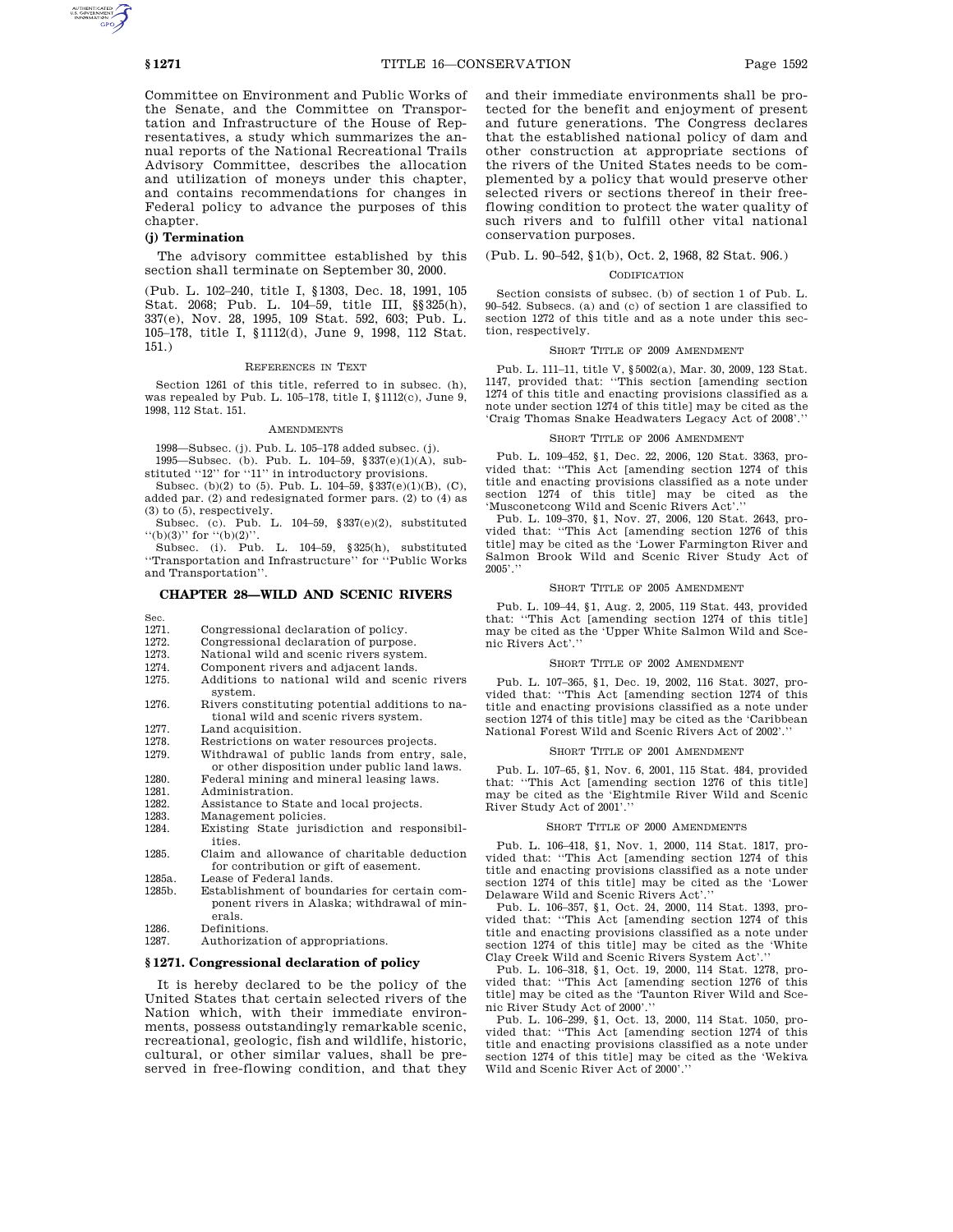Committee on Environment and Public Works of the Senate, and the Committee on Transportation and Infrastructure of the House of Representatives, a study which summarizes the annual reports of the National Recreational Trails Advisory Committee, describes the allocation and utilization of moneys under this chapter, and contains recommendations for changes in Federal policy to advance the purposes of this chapter.

## **(j) Termination**

The advisory committee established by this section shall terminate on September 30, 2000.

(Pub. L. 102–240, title I, §1303, Dec. 18, 1991, 105 Stat. 2068; Pub. L. 104–59, title III, §§325(h), 337(e), Nov. 28, 1995, 109 Stat. 592, 603; Pub. L. 105–178, title I, §1112(d), June 9, 1998, 112 Stat. 151.)

#### REFERENCES IN TEXT

Section 1261 of this title, referred to in subsec. (h), was repealed by Pub. L. 105–178, title I, §1112(c), June 9, 1998, 112 Stat. 151.

## AMENDMENTS

1998—Subsec. (j). Pub. L. 105–178 added subsec. (j). 1995—Subsec. (b). Pub. L. 104–59, §337(e)(1)(A), sub-

stituted "12" for "11" in introductory provisions.

Subsec. (b)(2) to (5). Pub. L.  $104-59$ ,  $337(e)(1)(B)$ , (C), added par. (2) and redesignated former pars. (2) to (4) as  $(3)$  to  $(5)$ , respectively.

Subsec. (c). Pub. L.  $104-59$ ,  $$337(e)(2)$ , substituted  $``(b)(3)"$  for  $``(b)(2)"$ .

Subsec. (i). Pub. L. 104–59, §325(h), substituted ''Transportation and Infrastructure'' for ''Public Works and Transportation''.

## **CHAPTER 28—WILD AND SCENIC RIVERS**

- Sec.
- 1271. Congressional declaration of policy.
- 1272. Congressional declaration of purpose.
- 1273. National wild and scenic rivers system.
- 1274. Component rivers and adjacent lands.
- 1275. Additions to national wild and scenic rivers
- system. 1276. Rivers constituting potential additions to national wild and scenic rivers system.
- 1277. Land acquisition.<br>1278. Restrictions on w
- Restrictions on water resources projects.
- 1279. Withdrawal of public lands from entry, sale, or other disposition under public land laws.
- 1280. Federal mining and mineral leasing laws.
- 1281. Administration.<br>1282. Assistance to St
- 1282. Assistance to State and local projects.<br>1283. Management policies. Management policies.
- 1284. Existing State jurisdiction and responsibilities.
- 1285. Claim and allowance of charitable deduction for contribution or gift of easement.
- 1285a. Lease of Federal lands.<br>1285b. Establishment of boun
- Establishment of boundaries for certain component rivers in Alaska; withdrawal of minerals.
- 1286. Definitions.<br>1287. Authorizatio
- Authorization of appropriations.

## **§ 1271. Congressional declaration of policy**

It is hereby declared to be the policy of the United States that certain selected rivers of the Nation which, with their immediate environments, possess outstandingly remarkable scenic, recreational, geologic, fish and wildlife, historic, cultural, or other similar values, shall be preserved in free-flowing condition, and that they

and their immediate environments shall be protected for the benefit and enjoyment of present and future generations. The Congress declares that the established national policy of dam and other construction at appropriate sections of the rivers of the United States needs to be complemented by a policy that would preserve other selected rivers or sections thereof in their freeflowing condition to protect the water quality of such rivers and to fulfill other vital national conservation purposes.

# (Pub. L. 90–542, §1(b), Oct. 2, 1968, 82 Stat. 906.)

## CODIFICATION

Section consists of subsec. (b) of section 1 of Pub. L. 90–542. Subsecs. (a) and (c) of section 1 are classified to section 1272 of this title and as a note under this section, respectively.

## SHORT TITLE OF 2009 AMENDMENT

Pub. L. 111–11, title V, §5002(a), Mar. 30, 2009, 123 Stat. 1147, provided that: ''This section [amending section 1274 of this title and enacting provisions classified as a note under section 1274 of this title] may be cited as the 'Craig Thomas Snake Headwaters Legacy Act of 2008'.''

## SHORT TITLE OF 2006 AMENDMENT

Pub. L. 109–452, §1, Dec. 22, 2006, 120 Stat. 3363, provided that: ''This Act [amending section 1274 of this title and enacting provisions classified as a note under section 1274 of this title] may be cited as the 'Musconetcong Wild and Scenic Rivers Act'.''

Pub. L. 109–370, §1, Nov. 27, 2006, 120 Stat. 2643, provided that: ''This Act [amending section 1276 of this title] may be cited as the 'Lower Farmington River and Salmon Brook Wild and Scenic River Study Act of 2005'.''

## SHORT TITLE OF 2005 AMENDMENT

Pub. L. 109–44, §1, Aug. 2, 2005, 119 Stat. 443, provided that: ''This Act [amending section 1274 of this title] may be cited as the 'Upper White Salmon Wild and Scenic Rivers Act'.''

#### SHORT TITLE OF 2002 AMENDMENT

Pub. L. 107–365, §1, Dec. 19, 2002, 116 Stat. 3027, provided that: ''This Act [amending section 1274 of this title and enacting provisions classified as a note under section 1274 of this title] may be cited as the 'Caribbean National Forest Wild and Scenic Rivers Act of 2002'.''

## SHORT TITLE OF 2001 AMENDMENT

Pub. L. 107–65, §1, Nov. 6, 2001, 115 Stat. 484, provided that: ''This Act [amending section 1276 of this title] may be cited as the 'Eightmile River Wild and Scenic River Study Act of 2001'.

#### SHORT TITLE OF 2000 AMENDMENTS

Pub. L. 106–418, §1, Nov. 1, 2000, 114 Stat. 1817, provided that: ''This Act [amending section 1274 of this title and enacting provisions classified as a note under section 1274 of this title] may be cited as the 'Lower Delaware Wild and Scenic Rivers Act'.

Pub. L. 106–357, §1, Oct. 24, 2000, 114 Stat. 1393, provided that: ''This Act [amending section 1274 of this title and enacting provisions classified as a note under section 1274 of this title] may be cited as the 'White Clay Creek Wild and Scenic Rivers System Act'.''

Pub. L. 106–318, §1, Oct. 19, 2000, 114 Stat. 1278, provided that: ''This Act [amending section 1276 of this title] may be cited as the 'Taunton River Wild and Scenic River Study Act of 2000'.''

Pub. L. 106–299, §1, Oct. 13, 2000, 114 Stat. 1050, provided that: ''This Act [amending section 1274 of this title and enacting provisions classified as a note under section 1274 of this title] may be cited as the 'Wekiva Wild and Scenic River Act of 2000'.''